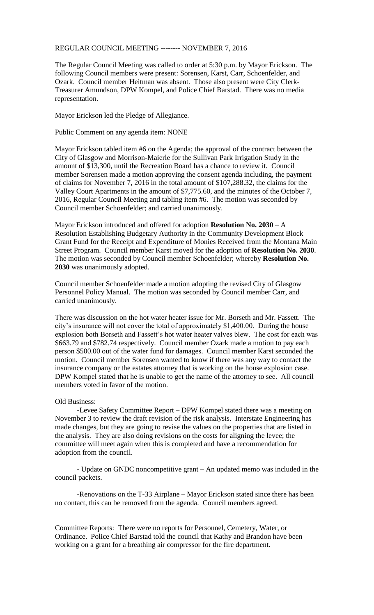## REGULAR COUNCIL MEETING -------- NOVEMBER 7, 2016

The Regular Council Meeting was called to order at 5:30 p.m. by Mayor Erickson. The following Council members were present: Sorensen, Karst, Carr, Schoenfelder, and Ozark. Council member Heitman was absent. Those also present were City Clerk-Treasurer Amundson, DPW Kompel, and Police Chief Barstad. There was no media representation.

Mayor Erickson led the Pledge of Allegiance.

Public Comment on any agenda item: NONE

Mayor Erickson tabled item #6 on the Agenda; the approval of the contract between the City of Glasgow and Morrison-Maierle for the Sullivan Park Irrigation Study in the amount of \$13,300, until the Recreation Board has a chance to review it. Council member Sorensen made a motion approving the consent agenda including, the payment of claims for November 7, 2016 in the total amount of \$107,288.32, the claims for the Valley Court Apartments in the amount of \$7,775.60, and the minutes of the October 7, 2016, Regular Council Meeting and tabling item #6. The motion was seconded by Council member Schoenfelder; and carried unanimously.

Mayor Erickson introduced and offered for adoption **Resolution No. 2030** – A Resolution Establishing Budgetary Authority in the Community Development Block Grant Fund for the Receipt and Expenditure of Monies Received from the Montana Main Street Program. Council member Karst moved for the adoption of **Resolution No. 2030**. The motion was seconded by Council member Schoenfelder; whereby **Resolution No. 2030** was unanimously adopted.

Council member Schoenfelder made a motion adopting the revised City of Glasgow Personnel Policy Manual. The motion was seconded by Council member Carr, and carried unanimously.

There was discussion on the hot water heater issue for Mr. Borseth and Mr. Fassett. The city's insurance will not cover the total of approximately \$1,400.00. During the house explosion both Borseth and Fassett's hot water heater valves blew. The cost for each was \$663.79 and \$782.74 respectively. Council member Ozark made a motion to pay each person \$500.00 out of the water fund for damages. Council member Karst seconded the motion. Council member Sorensen wanted to know if there was any way to contact the insurance company or the estates attorney that is working on the house explosion case. DPW Kompel stated that he is unable to get the name of the attorney to see. All council members voted in favor of the motion.

## Old Business:

-Levee Safety Committee Report – DPW Kompel stated there was a meeting on November 3 to review the draft revision of the risk analysis. Interstate Engineering has made changes, but they are going to revise the values on the properties that are listed in the analysis. They are also doing revisions on the costs for aligning the levee; the committee will meet again when this is completed and have a recommendation for adoption from the council.

- Update on GNDC noncompetitive grant – An updated memo was included in the council packets.

-Renovations on the T-33 Airplane – Mayor Erickson stated since there has been no contact, this can be removed from the agenda. Council members agreed.

Committee Reports: There were no reports for Personnel, Cemetery, Water, or Ordinance. Police Chief Barstad told the council that Kathy and Brandon have been working on a grant for a breathing air compressor for the fire department.